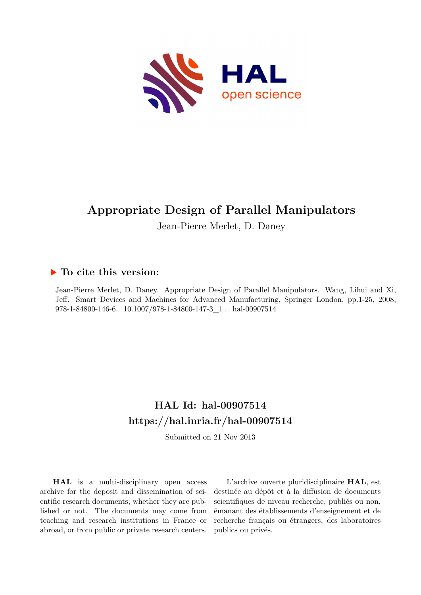

# **Appropriate Design of Parallel Manipulators**

Jean-Pierre Merlet, D. Daney

# **To cite this version:**

Jean-Pierre Merlet, D. Daney. Appropriate Design of Parallel Manipulators. Wang, Lihui and Xi, Jeff. Smart Devices and Machines for Advanced Manufacturing, Springer London, pp.1-25, 2008, 978-1-84800-146-6. 10.1007/978-1-84800-147-3\_1 . hal-00907514

# **HAL Id: hal-00907514 <https://hal.inria.fr/hal-00907514>**

Submitted on 21 Nov 2013

**HAL** is a multi-disciplinary open access archive for the deposit and dissemination of scientific research documents, whether they are published or not. The documents may come from teaching and research institutions in France or abroad, or from public or private research centers.

L'archive ouverte pluridisciplinaire **HAL**, est destinée au dépôt et à la diffusion de documents scientifiques de niveau recherche, publiés ou non, émanant des établissements d'enseignement et de recherche français ou étrangers, des laboratoires publics ou privés.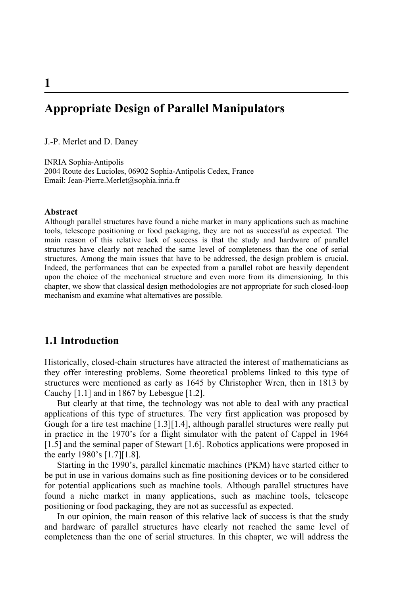# **Appropriate Design of Parallel Manipulators**

J.-P. Merlet and D. Daney

INRIA Sophia-Antipolis 2004 Route des Lucioles, 06902 Sophia-Antipolis Cedex, France Email: Jean-Pierre.Merlet@sophia.inria.fr

#### **Abstract**

Although parallel structures have found a niche market in many applications such as machine tools, telescope positioning or food packaging, they are not as successful as expected. The main reason of this relative lack of success is that the study and hardware of parallel structures have clearly not reached the same level of completeness than the one of serial structures. Among the main issues that have to be addressed, the design problem is crucial. Indeed, the performances that can be expected from a parallel robot are heavily dependent upon the choice of the mechanical structure and even more from its dimensioning. In this chapter, we show that classical design methodologies are not appropriate for such closed-loop mechanism and examine what alternatives are possible.

### **1.1 Introduction**

Historically, closed-chain structures have attracted the interest of mathematicians as they offer interesting problems. Some theoretical problems linked to this type of structures were mentioned as early as 1645 by Christopher Wren, then in 1813 by Cauchy [1.1] and in 1867 by Lebesgue [1.2].

But clearly at that time, the technology was not able to deal with any practical applications of this type of structures. The very first application was proposed by Gough for a tire test machine [1.3][1.4], although parallel structures were really put in practice in the 1970's for a flight simulator with the patent of Cappel in 1964 [1.5] and the seminal paper of Stewart [1.6]. Robotics applications were proposed in the early 1980's [1.7][1.8].

Starting in the 1990's, parallel kinematic machines (PKM) have started either to be put in use in various domains such as fine positioning devices or to be considered for potential applications such as machine tools. Although parallel structures have found a niche market in many applications, such as machine tools, telescope positioning or food packaging, they are not as successful as expected.

In our opinion, the main reason of this relative lack of success is that the study and hardware of parallel structures have clearly not reached the same level of completeness than the one of serial structures. In this chapter, we will address the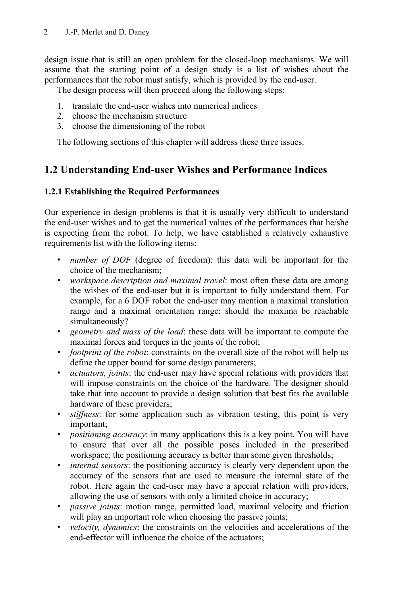design issue that is still an open problem for the closed-loop mechanisms. We will assume that the starting point of a design study is a list of wishes about the performances that the robot must satisfy, which is provided by the end-user.

The design process will then proceed along the following steps:

- 1. translate the end-user wishes into numerical indices
- 2. choose the mechanism structure
- 3. choose the dimensioning of the robot

The following sections of this chapter will address these three issues.

# **1.2 Understanding End-user Wishes and Performance Indices**

# **1.2.1 Establishing the Required Performances**

Our experience in design problems is that it is usually very difficult to understand the end-user wishes and to get the numerical values of the performances that he/she is expecting from the robot. To help, we have established a relatively exhaustive requirements list with the following items:

- number of DOF (degree of freedom): this data will be important for the choice of the mechanism;
- *workspace description and maximal travel*: most often these data are among the wishes of the end-user but it is important to fully understand them. For example, for a 6 DOF robot the end-user may mention a maximal translation range and a maximal orientation range: should the maxima be reachable simultaneously?
- *geometry and mass of the load*: these data will be important to compute the maximal forces and torques in the joints of the robot;
- *footprint of the robot*: constraints on the overall size of the robot will help us define the upper bound for some design parameters;
- *actuators, joints*: the end-user may have special relations with providers that will impose constraints on the choice of the hardware. The designer should take that into account to provide a design solution that best fits the available hardware of these providers;
- *stiffness*: for some application such as vibration testing, this point is very important;
- *positioning accuracy*: in many applications this is a key point. You will have to ensure that over all the possible poses included in the prescribed workspace, the positioning accuracy is better than some given thresholds;
- *internal sensors*: the positioning accuracy is clearly very dependent upon the accuracy of the sensors that are used to measure the internal state of the robot. Here again the end-user may have a special relation with providers, allowing the use of sensors with only a limited choice in accuracy;
- *passive joints*: motion range, permitted load, maximal velocity and friction will play an important role when choosing the passive joints;
- *velocity, dynamics*: the constraints on the velocities and accelerations of the end-effector will influence the choice of the actuators;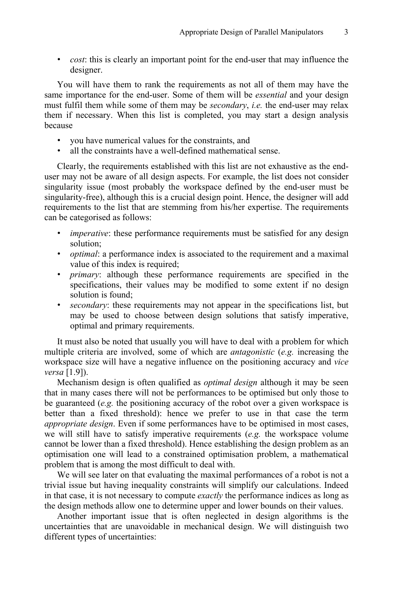• *cost*: this is clearly an important point for the end-user that may influence the designer.

You will have them to rank the requirements as not all of them may have the same importance for the end-user. Some of them will be *essential* and your design must fulfil them while some of them may be *secondary*, *i.e.* the end-user may relax them if necessary. When this list is completed, you may start a design analysis because

- you have numerical values for the constraints, and
- all the constraints have a well-defined mathematical sense.

Clearly, the requirements established with this list are not exhaustive as the enduser may not be aware of all design aspects. For example, the list does not consider singularity issue (most probably the workspace defined by the end-user must be singularity-free), although this is a crucial design point. Hence, the designer will add requirements to the list that are stemming from his/her expertise. The requirements can be categorised as follows:

- *imperative*: these performance requirements must be satisfied for any design solution;
- *optimal*: a performance index is associated to the requirement and a maximal value of this index is required;
- *primary*: although these performance requirements are specified in the specifications, their values may be modified to some extent if no design solution is found;
- *secondary*: these requirements may not appear in the specifications list, but may be used to choose between design solutions that satisfy imperative, optimal and primary requirements.

It must also be noted that usually you will have to deal with a problem for which multiple criteria are involved, some of which are *antagonistic* (*e.g.* increasing the workspace size will have a negative influence on the positioning accuracy and *vice versa* [1.9]).

Mechanism design is often qualified as *optimal design* although it may be seen that in many cases there will not be performances to be optimised but only those to be guaranteed (*e.g.* the positioning accuracy of the robot over a given workspace is better than a fixed threshold): hence we prefer to use in that case the term *appropriate design*. Even if some performances have to be optimised in most cases, we will still have to satisfy imperative requirements (*e.g.* the workspace volume cannot be lower than a fixed threshold). Hence establishing the design problem as an optimisation one will lead to a constrained optimisation problem, a mathematical problem that is among the most difficult to deal with.

We will see later on that evaluating the maximal performances of a robot is not a trivial issue but having inequality constraints will simplify our calculations. Indeed in that case, it is not necessary to compute *exactly* the performance indices as long as the design methods allow one to determine upper and lower bounds on their values.

Another important issue that is often neglected in design algorithms is the uncertainties that are unavoidable in mechanical design. We will distinguish two different types of uncertainties: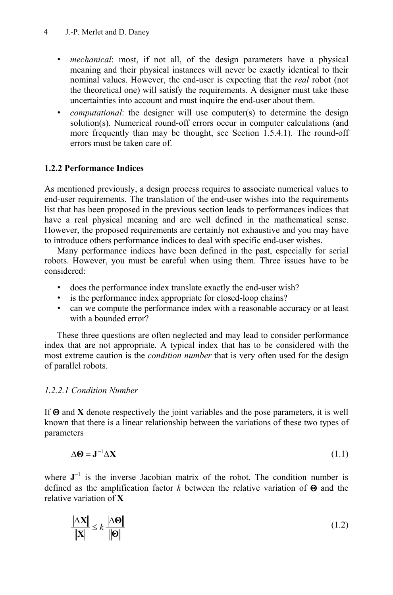#### 4 J.-P. Merlet and D. Daney

- *mechanical*: most, if not all, of the design parameters have a physical meaning and their physical instances will never be exactly identical to their nominal values. However, the end-user is expecting that the *real* robot (not the theoretical one) will satisfy the requirements. A designer must take these uncertainties into account and must inquire the end-user about them.
- *computational*: the designer will use computer(s) to determine the design solution(s). Numerical round-off errors occur in computer calculations (and more frequently than may be thought, see Section 1.5.4.1). The round-off errors must be taken care of.

# **1.2.2 Performance Indices**

As mentioned previously, a design process requires to associate numerical values to end-user requirements. The translation of the end-user wishes into the requirements list that has been proposed in the previous section leads to performances indices that have a real physical meaning and are well defined in the mathematical sense. However, the proposed requirements are certainly not exhaustive and you may have to introduce others performance indices to deal with specific end-user wishes.

Many performance indices have been defined in the past, especially for serial robots. However, you must be careful when using them. Three issues have to be considered:

- does the performance index translate exactly the end-user wish?
- is the performance index appropriate for closed-loop chains?
- can we compute the performance index with a reasonable accuracy or at least with a bounded error?

These three questions are often neglected and may lead to consider performance index that are not appropriate. A typical index that has to be considered with the most extreme caution is the *condition number* that is very often used for the design of parallel robots.

# *1.2.2.1 Condition Number*

If  $\Theta$  and **X** denote respectively the joint variables and the pose parameters, it is well known that there is a linear relationship between the variations of these two types of parameters

$$
\Delta \Theta = \mathbf{J}^{-1} \Delta \mathbf{X} \tag{1.1}
$$

where  $J^{-1}$  is the inverse Jacobian matrix of the robot. The condition number is defined as the amplification factor  $k$  between the relative variation of  $\Theta$  and the relative variation of **X**

$$
\frac{\|\Delta \mathbf{X}\|}{\|\mathbf{X}\|} \le k \frac{\|\Delta \mathbf{O}\|}{\|\mathbf{O}\|} \tag{1.2}
$$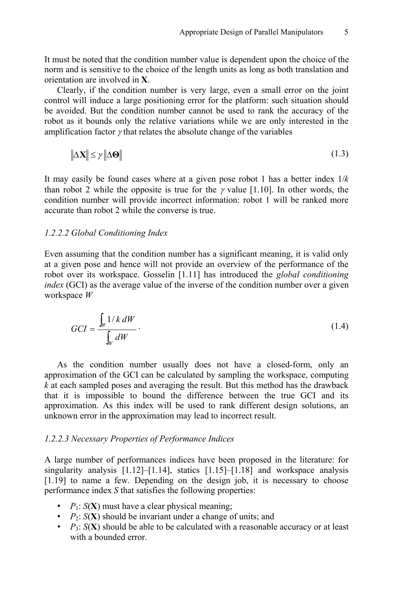It must be noted that the condition number value is dependent upon the choice of the norm and is sensitive to the choice of the length units as long as both translation and orientation are involved in **X**.

Clearly, if the condition number is very large, even a small error on the joint control will induce a large positioning error for the platform: such situation should be avoided. But the condition number cannot be used to rank the accuracy of the robot as it bounds only the relative variations while we are only interested in the amplification factor  $\nu$  that relates the absolute change of the variables

$$
\|\Delta \mathbf{X}\| \le \gamma \|\Delta \mathbf{\Theta}\| \tag{1.3}
$$

It may easily be found cases where at a given pose robot 1 has a better index 1/*k* than robot 2 while the opposite is true for the  $\gamma$  value [1.10]. In other words, the condition number will provide incorrect information: robot 1 will be ranked more accurate than robot 2 while the converse is true.

#### *1.2.2.2 Global Conditioning Index*

Even assuming that the condition number has a significant meaning, it is valid only at a given pose and hence will not provide an overview of the performance of the robot over its workspace. Gosselin [1.11] has introduced the *global conditioning index* (GCI) as the average value of the inverse of the condition number over a given workspace *W* 

$$
GCI = \frac{\int_{W} 1/k \, dW}{\int_{W} dW} \tag{1.4}
$$

As the condition number usually does not have a closed-form, only an approximation of the GCI can be calculated by sampling the workspace, computing *k* at each sampled poses and averaging the result. But this method has the drawback that it is impossible to bound the difference between the true GCI and its approximation. As this index will be used to rank different design solutions, an unknown error in the approximation may lead to incorrect result.

#### *1.2.2.3 Necessary Properties of Performance Indices*

A large number of performances indices have been proposed in the literature: for singularity analysis  $[1.12]$ – $[1.14]$ , statics  $[1.15]$ – $[1.18]$  and workspace analysis [1.19] to name a few. Depending on the design job, it is necessary to choose performance index *S* that satisfies the following properties:

- $P_1$ : *S*(**X**) must have a clear physical meaning;
- $P_2$ :  $S(X)$  should be invariant under a change of units; and
- $P_3$ :  $S(X)$  should be able to be calculated with a reasonable accuracy or at least with a bounded error.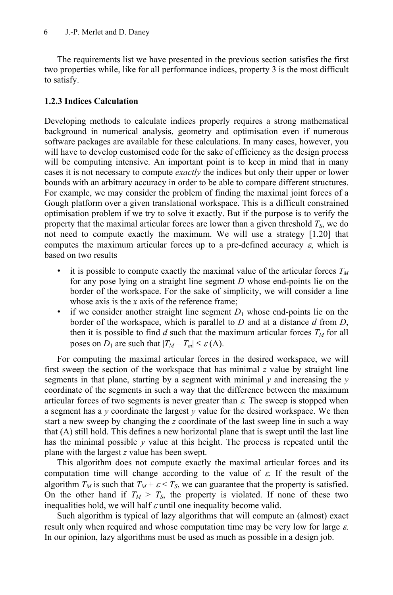The requirements list we have presented in the previous section satisfies the first two properties while, like for all performance indices, property 3 is the most difficult to satisfy.

### **1.2.3 Indices Calculation**

Developing methods to calculate indices properly requires a strong mathematical background in numerical analysis, geometry and optimisation even if numerous software packages are available for these calculations. In many cases, however, you will have to develop customised code for the sake of efficiency as the design process will be computing intensive. An important point is to keep in mind that in many cases it is not necessary to compute *exactly* the indices but only their upper or lower bounds with an arbitrary accuracy in order to be able to compare different structures. For example, we may consider the problem of finding the maximal joint forces of a Gough platform over a given translational workspace. This is a difficult constrained optimisation problem if we try to solve it exactly. But if the purpose is to verify the property that the maximal articular forces are lower than a given threshold *TS*, we do not need to compute exactly the maximum. We will use a strategy [1.20] that computes the maximum articular forces up to a pre-defined accuracy  $\varepsilon$ , which is based on two results

- it is possible to compute exactly the maximal value of the articular forces  $T_M$ for any pose lying on a straight line segment *D* whose end-points lie on the border of the workspace. For the sake of simplicity, we will consider a line whose axis is the *x* axis of the reference frame;
- if we consider another straight line segment  $D_1$  whose end-points lie on the border of the workspace, which is parallel to *D* and at a distance *d* from *D*, then it is possible to find *d* such that the maximum articular forces  $T<sub>M</sub>$  for all poses on  $D_1$  are such that  $|T_M - T_m| \leq \varepsilon(A)$ .

For computing the maximal articular forces in the desired workspace, we will first sweep the section of the workspace that has minimal *z* value by straight line segments in that plane, starting by a segment with minimal  $\gamma$  and increasing the  $\gamma$ coordinate of the segments in such a way that the difference between the maximum articular forces of two segments is never greater than  $\varepsilon$ . The sweep is stopped when a segment has a *y* coordinate the largest *y* value for the desired workspace. We then start a new sweep by changing the *z* coordinate of the last sweep line in such a way that (A) still hold. This defines a new horizontal plane that is swept until the last line has the minimal possible *y* value at this height. The process is repeated until the plane with the largest *z* value has been swept.

This algorithm does not compute exactly the maximal articular forces and its computation time will change according to the value of  $\varepsilon$ . If the result of the algorithm  $T_M$  is such that  $T_M + \varepsilon < T_S$ , we can guarantee that the property is satisfied. On the other hand if  $T_M > T_S$ , the property is violated. If none of these two inequalities hold, we will half  $\varepsilon$  until one inequality become valid.

Such algorithm is typical of lazy algorithms that will compute an (almost) exact result only when required and whose computation time may be very low for large  $\varepsilon$ . In our opinion, lazy algorithms must be used as much as possible in a design job.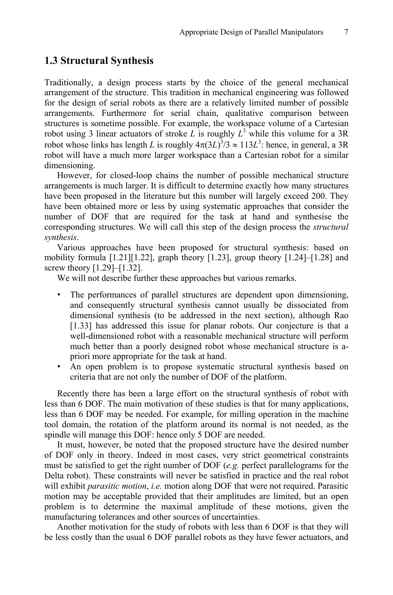# **1.3 Structural Synthesis**

Traditionally, a design process starts by the choice of the general mechanical arrangement of the structure. This tradition in mechanical engineering was followed for the design of serial robots as there are a relatively limited number of possible arrangements. Furthermore for serial chain, qualitative comparison between structures is sometime possible. For example, the workspace volume of a Cartesian robot using 3 linear actuators of stroke *L* is roughly  $L^3$  while this volume for a 3R robot whose links has length *L* is roughly  $4\pi(3L)^3/3 \approx 113L^3$ : hence, in general, a 3R robot will have a much more larger workspace than a Cartesian robot for a similar dimensioning.

However, for closed-loop chains the number of possible mechanical structure arrangements is much larger. It is difficult to determine exactly how many structures have been proposed in the literature but this number will largely exceed 200. They have been obtained more or less by using systematic approaches that consider the number of DOF that are required for the task at hand and synthesise the corresponding structures. We will call this step of the design process the *structural synthesis*.

Various approaches have been proposed for structural synthesis: based on mobility formula [1.21][1.22], graph theory [1.23], group theory [1.24]–[1.28] and screw theory [1.29]–[1.32].

We will not describe further these approaches but various remarks.

- The performances of parallel structures are dependent upon dimensioning, and consequently structural synthesis cannot usually be dissociated from dimensional synthesis (to be addressed in the next section), although Rao [1.33] has addressed this issue for planar robots. Our conjecture is that a well-dimensioned robot with a reasonable mechanical structure will perform much better than a poorly designed robot whose mechanical structure is apriori more appropriate for the task at hand.
- An open problem is to propose systematic structural synthesis based on criteria that are not only the number of DOF of the platform.

Recently there has been a large effort on the structural synthesis of robot with less than 6 DOF. The main motivation of these studies is that for many applications, less than 6 DOF may be needed. For example, for milling operation in the machine tool domain, the rotation of the platform around its normal is not needed, as the spindle will manage this DOF: hence only 5 DOF are needed.

It must, however, be noted that the proposed structure have the desired number of DOF only in theory. Indeed in most cases, very strict geometrical constraints must be satisfied to get the right number of DOF (*e.g.* perfect parallelograms for the Delta robot). These constraints will never be satisfied in practice and the real robot will exhibit *parasitic motion*, *i.e.* motion along DOF that were not required. Parasitic motion may be acceptable provided that their amplitudes are limited, but an open problem is to determine the maximal amplitude of these motions, given the manufacturing tolerances and other sources of uncertainties.

Another motivation for the study of robots with less than 6 DOF is that they will be less costly than the usual 6 DOF parallel robots as they have fewer actuators, and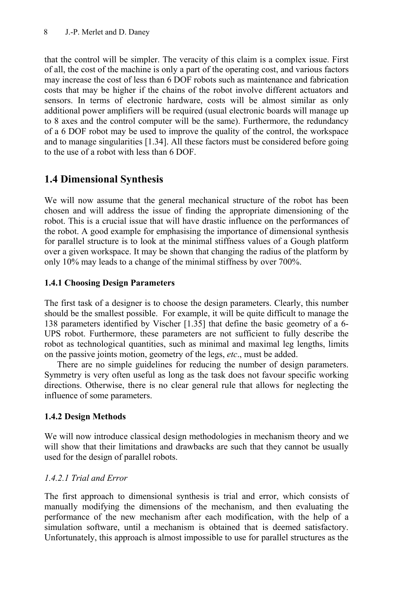that the control will be simpler. The veracity of this claim is a complex issue. First of all, the cost of the machine is only a part of the operating cost, and various factors may increase the cost of less than 6 DOF robots such as maintenance and fabrication costs that may be higher if the chains of the robot involve different actuators and sensors. In terms of electronic hardware, costs will be almost similar as only additional power amplifiers will be required (usual electronic boards will manage up to 8 axes and the control computer will be the same). Furthermore, the redundancy of a 6 DOF robot may be used to improve the quality of the control, the workspace and to manage singularities [1.34]. All these factors must be considered before going to the use of a robot with less than 6 DOF.

# **1.4 Dimensional Synthesis**

We will now assume that the general mechanical structure of the robot has been chosen and will address the issue of finding the appropriate dimensioning of the robot. This is a crucial issue that will have drastic influence on the performances of the robot. A good example for emphasising the importance of dimensional synthesis for parallel structure is to look at the minimal stiffness values of a Gough platform over a given workspace. It may be shown that changing the radius of the platform by only 10% may leads to a change of the minimal stiffness by over 700%.

# **1.4.1 Choosing Design Parameters**

The first task of a designer is to choose the design parameters. Clearly, this number should be the smallest possible. For example, it will be quite difficult to manage the 138 parameters identified by Vischer [1.35] that define the basic geometry of a 6- UPS robot. Furthermore, these parameters are not sufficient to fully describe the robot as technological quantities, such as minimal and maximal leg lengths, limits on the passive joints motion, geometry of the legs, *etc*., must be added.

There are no simple guidelines for reducing the number of design parameters. Symmetry is very often useful as long as the task does not favour specific working directions. Otherwise, there is no clear general rule that allows for neglecting the influence of some parameters.

# **1.4.2 Design Methods**

We will now introduce classical design methodologies in mechanism theory and we will show that their limitations and drawbacks are such that they cannot be usually used for the design of parallel robots.

# *1.4.2.1 Trial and Error*

The first approach to dimensional synthesis is trial and error, which consists of manually modifying the dimensions of the mechanism, and then evaluating the performance of the new mechanism after each modification, with the help of a simulation software, until a mechanism is obtained that is deemed satisfactory. Unfortunately, this approach is almost impossible to use for parallel structures as the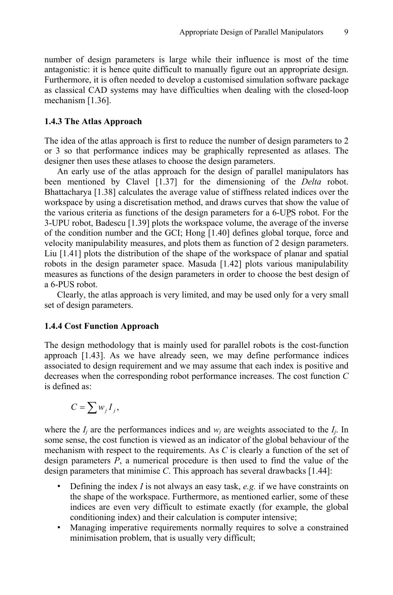number of design parameters is large while their influence is most of the time antagonistic: it is hence quite difficult to manually figure out an appropriate design. Furthermore, it is often needed to develop a customised simulation software package as classical CAD systems may have difficulties when dealing with the closed-loop mechanism [1.36].

#### **1.4.3 The Atlas Approach**

The idea of the atlas approach is first to reduce the number of design parameters to 2 or 3 so that performance indices may be graphically represented as atlases. The designer then uses these atlases to choose the design parameters.

An early use of the atlas approach for the design of parallel manipulators has been mentioned by Clavel [1.37] for the dimensioning of the *Delta* robot. Bhattacharya [1.38] calculates the average value of stiffness related indices over the workspace by using a discretisation method, and draws curves that show the value of the various criteria as functions of the design parameters for a 6-UPS robot. For the 3-UPU robot, Badescu [1.39] plots the workspace volume, the average of the inverse of the condition number and the GCI; Hong [1.40] defines global torque, force and velocity manipulability measures, and plots them as function of 2 design parameters. Liu [1.41] plots the distribution of the shape of the workspace of planar and spatial robots in the design parameter space. Masuda [1.42] plots various manipulability measures as functions of the design parameters in order to choose the best design of a 6-PUS robot.

Clearly, the atlas approach is very limited, and may be used only for a very small set of design parameters.

#### **1.4.4 Cost Function Approach**

The design methodology that is mainly used for parallel robots is the cost-function approach [1.43]. As we have already seen, we may define performance indices associated to design requirement and we may assume that each index is positive and decreases when the corresponding robot performance increases. The cost function *C* is defined as:

$$
C=\sum w_j I_j,
$$

where the  $I_j$  are the performances indices and  $w_j$  are weights associated to the  $I_j$ . In some sense, the cost function is viewed as an indicator of the global behaviour of the mechanism with respect to the requirements. As *C* is clearly a function of the set of design parameters *P*, a numerical procedure is then used to find the value of the design parameters that minimise *C*. This approach has several drawbacks [1.44]:

- Defining the index *I* is not always an easy task, *e.g.* if we have constraints on the shape of the workspace. Furthermore, as mentioned earlier, some of these indices are even very difficult to estimate exactly (for example, the global conditioning index) and their calculation is computer intensive;
- Managing imperative requirements normally requires to solve a constrained minimisation problem, that is usually very difficult;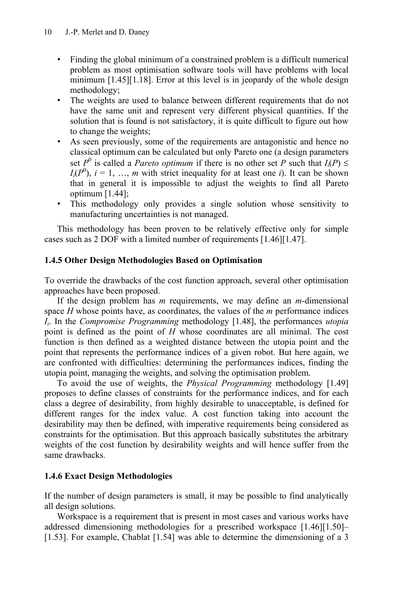- Finding the global minimum of a constrained problem is a difficult numerical problem as most optimisation software tools will have problems with local minimum [1.45][1.18]. Error at this level is in jeopardy of the whole design methodology;
- The weights are used to balance between different requirements that do not have the same unit and represent very different physical quantities. If the solution that is found is not satisfactory, it is quite difficult to figure out how to change the weights;
- As seen previously, some of the requirements are antagonistic and hence no classical optimum can be calculated but only Pareto one (a design parameters set  $P^0$  is called a *Pareto optimum* if there is no other set *P* such that  $I_i(P) \leq$  $I_i(P^0)$ ,  $i = 1, \ldots, m$  with strict inequality for at least one *i*). It can be shown that in general it is impossible to adjust the weights to find all Pareto optimum [1.44];
- This methodology only provides a single solution whose sensitivity to manufacturing uncertainties is not managed.

This methodology has been proven to be relatively effective only for simple cases such as 2 DOF with a limited number of requirements [1.46][1.47].

# **1.4.5 Other Design Methodologies Based on Optimisation**

To override the drawbacks of the cost function approach, several other optimisation approaches have been proposed.

If the design problem has *m* requirements, we may define an *m*-dimensional space *H* whose points have, as coordinates, the values of the *m* performance indices *Ii* . In the *Compromise Programming* methodology [1.48], the performances *utopia* point is defined as the point of *H* whose coordinates are all minimal. The cost function is then defined as a weighted distance between the utopia point and the point that represents the performance indices of a given robot. But here again, we are confronted with difficulties: determining the performances indices, finding the utopia point, managing the weights, and solving the optimisation problem.

To avoid the use of weights, the *Physical Programming* methodology [1.49] proposes to define classes of constraints for the performance indices, and for each class a degree of desirability, from highly desirable to unacceptable, is defined for different ranges for the index value. A cost function taking into account the desirability may then be defined, with imperative requirements being considered as constraints for the optimisation. But this approach basically substitutes the arbitrary weights of the cost function by desirability weights and will hence suffer from the same drawbacks.

# **1.4.6 Exact Design Methodologies**

If the number of design parameters is small, it may be possible to find analytically all design solutions.

Workspace is a requirement that is present in most cases and various works have addressed dimensioning methodologies for a prescribed workspace [1.46][1.50]– [1.53]. For example, Chablat [1.54] was able to determine the dimensioning of a 3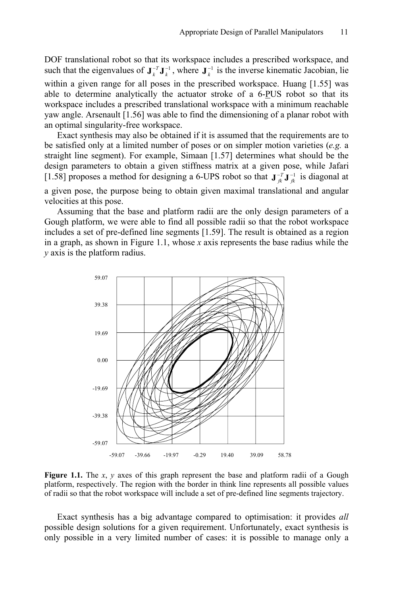DOF translational robot so that its workspace includes a prescribed workspace, and such that the eigenvalues of  $J_k^{-T}J_k^{-1}$ , where  $J_k^{-1}$  is the inverse kinematic Jacobian, lie within a given range for all poses in the prescribed workspace. Huang [1.55] was able to determine analytically the actuator stroke of a 6-PUS robot so that its workspace includes a prescribed translational workspace with a minimum reachable yaw angle. Arsenault [1.56] was able to find the dimensioning of a planar robot with an optimal singularity-free workspace.

Exact synthesis may also be obtained if it is assumed that the requirements are to be satisfied only at a limited number of poses or on simpler motion varieties (*e.g.* a straight line segment). For example, Simaan [1.57] determines what should be the design parameters to obtain a given stiffness matrix at a given pose, while Jafari [1.58] proposes a method for designing a 6-UPS robot so that  $J_{jk}^{-T}J_{jk}^{-1}$  is diagonal at

a given pose, the purpose being to obtain given maximal translational and angular velocities at this pose.

Assuming that the base and platform radii are the only design parameters of a Gough platform, we were able to find all possible radii so that the robot workspace includes a set of pre-defined line segments [1.59]. The result is obtained as a region in a graph, as shown in Figure 1.1, whose *x* axis represents the base radius while the *y* axis is the platform radius.



**Figure 1.1.** The *x*, *y* axes of this graph represent the base and platform radii of a Gough platform, respectively. The region with the border in think line represents all possible values of radii so that the robot workspace will include a set of pre-defined line segments trajectory.

Exact synthesis has a big advantage compared to optimisation: it provides *all* possible design solutions for a given requirement. Unfortunately, exact synthesis is only possible in a very limited number of cases: it is possible to manage only a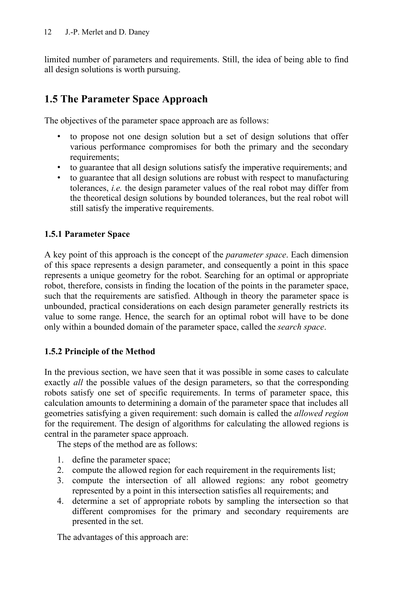limited number of parameters and requirements. Still, the idea of being able to find all design solutions is worth pursuing.

# **1.5 The Parameter Space Approach**

The objectives of the parameter space approach are as follows:

- to propose not one design solution but a set of design solutions that offer various performance compromises for both the primary and the secondary requirements;
- to guarantee that all design solutions satisfy the imperative requirements; and
- to guarantee that all design solutions are robust with respect to manufacturing tolerances, *i.e.* the design parameter values of the real robot may differ from the theoretical design solutions by bounded tolerances, but the real robot will still satisfy the imperative requirements.

# **1.5.1 Parameter Space**

A key point of this approach is the concept of the *parameter space*. Each dimension of this space represents a design parameter, and consequently a point in this space represents a unique geometry for the robot. Searching for an optimal or appropriate robot, therefore, consists in finding the location of the points in the parameter space, such that the requirements are satisfied. Although in theory the parameter space is unbounded, practical considerations on each design parameter generally restricts its value to some range. Hence, the search for an optimal robot will have to be done only within a bounded domain of the parameter space, called the *search space*.

# **1.5.2 Principle of the Method**

In the previous section, we have seen that it was possible in some cases to calculate exactly *all* the possible values of the design parameters, so that the corresponding robots satisfy one set of specific requirements. In terms of parameter space, this calculation amounts to determining a domain of the parameter space that includes all geometries satisfying a given requirement: such domain is called the *allowed region* for the requirement. The design of algorithms for calculating the allowed regions is central in the parameter space approach.

The steps of the method are as follows:

- 1. define the parameter space;
- 2. compute the allowed region for each requirement in the requirements list;
- 3. compute the intersection of all allowed regions: any robot geometry represented by a point in this intersection satisfies all requirements; and
- 4. determine a set of appropriate robots by sampling the intersection so that different compromises for the primary and secondary requirements are presented in the set.

The advantages of this approach are: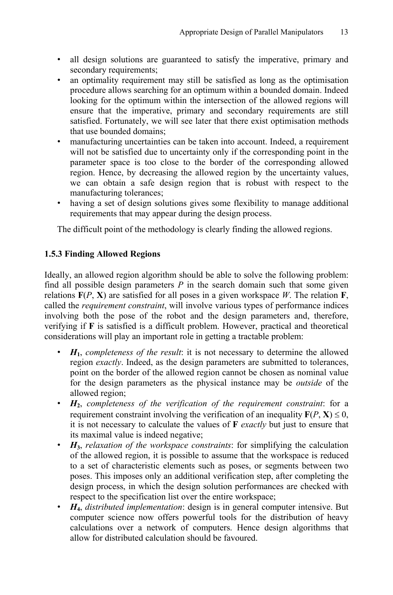- all design solutions are guaranteed to satisfy the imperative, primary and secondary requirements:
- an optimality requirement may still be satisfied as long as the optimisation procedure allows searching for an optimum within a bounded domain. Indeed looking for the optimum within the intersection of the allowed regions will ensure that the imperative, primary and secondary requirements are still satisfied. Fortunately, we will see later that there exist optimisation methods that use bounded domains;
- manufacturing uncertainties can be taken into account. Indeed, a requirement will not be satisfied due to uncertainty only if the corresponding point in the parameter space is too close to the border of the corresponding allowed region. Hence, by decreasing the allowed region by the uncertainty values, we can obtain a safe design region that is robust with respect to the manufacturing tolerances;
- having a set of design solutions gives some flexibility to manage additional requirements that may appear during the design process.

The difficult point of the methodology is clearly finding the allowed regions.

# **1.5.3 Finding Allowed Regions**

Ideally, an allowed region algorithm should be able to solve the following problem: find all possible design parameters  $P$  in the search domain such that some given relations  $F(P, X)$  are satisfied for all poses in a given workspace *W*. The relation  $F$ , called the *requirement constraint*, will involve various types of performance indices involving both the pose of the robot and the design parameters and, therefore, verifying if **F** is satisfied is a difficult problem. However, practical and theoretical considerations will play an important role in getting a tractable problem:

- *H***1**, *completeness of the result*: it is not necessary to determine the allowed region *exactly*. Indeed, as the design parameters are submitted to tolerances, point on the border of the allowed region cannot be chosen as nominal value for the design parameters as the physical instance may be *outside* of the allowed region;
- *H***2**, *completeness of the verification of the requirement constraint*: for a requirement constraint involving the verification of an inequality  $\mathbf{F}(P, \mathbf{X}) \leq 0$ , it is not necessary to calculate the values of **F** *exactly* but just to ensure that its maximal value is indeed negative;
- *H***3**, *relaxation of the workspace constraints*: for simplifying the calculation of the allowed region, it is possible to assume that the workspace is reduced to a set of characteristic elements such as poses, or segments between two poses. This imposes only an additional verification step, after completing the design process, in which the design solution performances are checked with respect to the specification list over the entire workspace;
- *H***4**, *distributed implementation*: design is in general computer intensive. But computer science now offers powerful tools for the distribution of heavy calculations over a network of computers. Hence design algorithms that allow for distributed calculation should be favoured.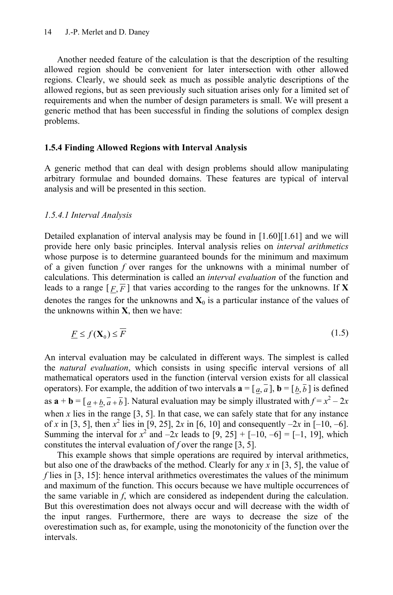Another needed feature of the calculation is that the description of the resulting allowed region should be convenient for later intersection with other allowed regions. Clearly, we should seek as much as possible analytic descriptions of the allowed regions, but as seen previously such situation arises only for a limited set of requirements and when the number of design parameters is small. We will present a generic method that has been successful in finding the solutions of complex design problems.

### **1.5.4 Finding Allowed Regions with Interval Analysis**

A generic method that can deal with design problems should allow manipulating arbitrary formulae and bounded domains. These features are typical of interval analysis and will be presented in this section.

### *1.5.4.1 Interval Analysis*

Detailed explanation of interval analysis may be found in [1.60][1.61] and we will provide here only basic principles. Interval analysis relies on *interval arithmetics* whose purpose is to determine guaranteed bounds for the minimum and maximum of a given function *f* over ranges for the unknowns with a minimal number of calculations. This determination is called an *interval evaluation* of the function and leads to a range  $[F, \overline{F}]$  that varies according to the ranges for the unknowns. If **X** denotes the ranges for the unknowns and  $X_0$  is a particular instance of the values of the unknowns within **X**, then we have:

$$
\underline{F} \le f(\mathbf{X}_0) \le \overline{F} \tag{1.5}
$$

An interval evaluation may be calculated in different ways. The simplest is called the *natural evaluation*, which consists in using specific interval versions of all mathematical operators used in the function (interval version exists for all classical operators). For example, the addition of two intervals  $\mathbf{a} = [a, \overline{a}], \mathbf{b} = [b, \overline{b}]$  is defined as  $\mathbf{a} + \mathbf{b} = [\underline{a} + \underline{b}, \overline{a} + \overline{b}]$ . Natural evaluation may be simply illustrated with  $f = x^2 - 2x$ when  $x$  lies in the range  $[3, 5]$ . In that case, we can safely state that for any instance of *x* in [3, 5], then  $x^2$  lies in [9, 25], 2*x* in [6, 10] and consequently  $-2x$  in [-10, -6]. Summing the interval for  $x^2$  and  $-2x$  leads to  $[9, 25] + [-10, -6] = [-1, 19]$ , which constitutes the interval evaluation of *f* over the range [3, 5].

This example shows that simple operations are required by interval arithmetics, but also one of the drawbacks of the method. Clearly for any *x* in [3, 5], the value of *f* lies in [3, 15]: hence interval arithmetics overestimates the values of the minimum and maximum of the function. This occurs because we have multiple occurrences of the same variable in *f*, which are considered as independent during the calculation. But this overestimation does not always occur and will decrease with the width of the input ranges. Furthermore, there are ways to decrease the size of the overestimation such as, for example, using the monotonicity of the function over the intervals.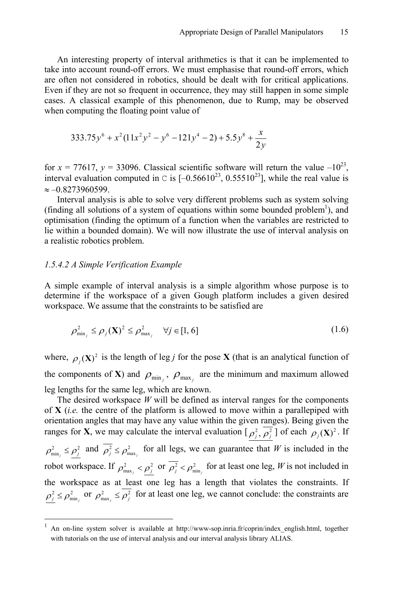An interesting property of interval arithmetics is that it can be implemented to take into account round-off errors. We must emphasise that round-off errors, which are often not considered in robotics, should be dealt with for critical applications. Even if they are not so frequent in occurrence, they may still happen in some simple cases. A classical example of this phenomenon, due to Rump, may be observed when computing the floating point value of

$$
333.75y^{6} + x^{2}(11x^{2}y^{2} - y^{6} - 121y^{4} - 2) + 5.5y^{8} + \frac{x}{2y}
$$

for  $x = 77617$ ,  $y = 33096$ . Classical scientific software will return the value  $-10^{23}$ , interval evaluation computed in  $\text{C}$  is  $[-0.56610^{23}, 0.55510^{23}]$ , while the real value is  $\approx -0.8273960599.$ 

Interval analysis is able to solve very different problems such as system solving (finding all solutions of a system of equations within some bounded problem<sup>1</sup>), and optimisation (finding the optimum of a function when the variables are restricted to lie within a bounded domain). We will now illustrate the use of interval analysis on a realistic robotics problem.

#### *1.5.4.2 A Simple Verification Example*

-

A simple example of interval analysis is a simple algorithm whose purpose is to determine if the workspace of a given Gough platform includes a given desired workspace. We assume that the constraints to be satisfied are

$$
\rho_{\min_j}^2 \le \rho_j(\mathbf{X})^2 \le \rho_{\max_j}^2 \quad \forall j \in [1, 6]
$$
\n(1.6)

where,  $\rho_j(\mathbf{X})^2$  is the length of leg *j* for the pose **X** (that is an analytical function of the components of **X**) and  $\rho_{\min_j}$ ,  $\rho_{\max_j}$  are the minimum and maximum allowed leg lengths for the same leg, which are known.

The desired workspace *W* will be defined as interval ranges for the components of **X** (*i.e.* the centre of the platform is allowed to move within a parallepiped with orientation angles that may have any value within the given ranges). Being given the ranges for **X**, we may calculate the interval evaluation  $[\rho_j^2, \rho_j^2]$  of each  $\rho_j(\mathbf{X})^2$ . If  $\rho_{\min_j}^2 \leq \rho_j^2$  and  $\rho_j^2 \leq \rho_{\max_j}^2$  for all legs, we can guarantee that *W* is included in the robot workspace. If  $\rho_{\max_j}^2 < \rho_j^2$  or  $\rho_j^2 < \rho_{\min_j}^2$  for at least one leg, *W* is not included in the workspace as at least one leg has a length that violates the constraints. If  $\rho_j^2 \le \rho_{\min_j}^2$  or  $\rho_{\max_j}^2 \le \rho_j^2$  for at least one leg, we cannot conclude: the constraints are

<sup>1</sup> An on-line system solver is available at http://www-sop.inria.fr/coprin/index\_english.html, together with tutorials on the use of interval analysis and our interval analysis library ALIAS.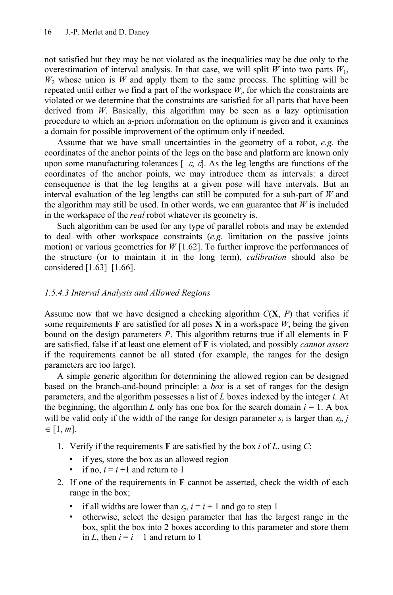not satisfied but they may be not violated as the inequalities may be due only to the overestimation of interval analysis. In that case, we will split *W* into two parts  $W_1$ ,  $W_2$  whose union is  $W$  and apply them to the same process. The splitting will be repeated until either we find a part of the workspace *Wn* for which the constraints are violated or we determine that the constraints are satisfied for all parts that have been derived from *W*. Basically, this algorithm may be seen as a lazy optimisation procedure to which an a-priori information on the optimum is given and it examines a domain for possible improvement of the optimum only if needed.

Assume that we have small uncertainties in the geometry of a robot, *e.g.* the coordinates of the anchor points of the legs on the base and platform are known only upon some manufacturing tolerances  $[-\varepsilon, \varepsilon]$ . As the leg lengths are functions of the coordinates of the anchor points, we may introduce them as intervals: a direct consequence is that the leg lengths at a given pose will have intervals. But an interval evaluation of the leg lengths can still be computed for a sub-part of *W* and the algorithm may still be used. In other words, we can guarantee that  $W$  is included in the workspace of the *real* robot whatever its geometry is.

Such algorithm can be used for any type of parallel robots and may be extended to deal with other workspace constraints (*e.g.* limitation on the passive joints motion) or various geometries for *W* [1.62]. To further improve the performances of the structure (or to maintain it in the long term), *calibration* should also be considered [1.63]–[1.66].

### *1.5.4.3 Interval Analysis and Allowed Regions*

Assume now that we have designed a checking algorithm *C*(**X**, *P*) that verifies if some requirements **F** are satisfied for all poses  $\overline{X}$  in a workspace *W*, being the given bound on the design parameters *P*. This algorithm returns true if all elements in **F** are satisfied, false if at least one element of **F** is violated, and possibly *cannot assert* if the requirements cannot be all stated (for example, the ranges for the design parameters are too large).

A simple generic algorithm for determining the allowed region can be designed based on the branch-and-bound principle: a *box* is a set of ranges for the design parameters, and the algorithm possesses a list of *L* boxes indexed by the integer *i*. At the beginning, the algorithm *L* only has one box for the search domain  $i = 1$ . A box will be valid only if the width of the range for design parameter  $s_j$  is larger than  $\varepsilon_j$ , *j*  $\in$  [1, *m*].

- 1. Verify if the requirements **F** are satisfied by the box *i* of *L*, using *C*;
	- if yes, store the box as an allowed region
	- if no,  $i = i + 1$  and return to 1
- 2. If one of the requirements in **F** cannot be asserted, check the width of each range in the box;
	- if all widths are lower than  $\varepsilon_j$ ,  $i = i + 1$  and go to step 1
	- otherwise, select the design parameter that has the largest range in the box, split the box into 2 boxes according to this parameter and store them in *L*, then  $i = i + 1$  and return to 1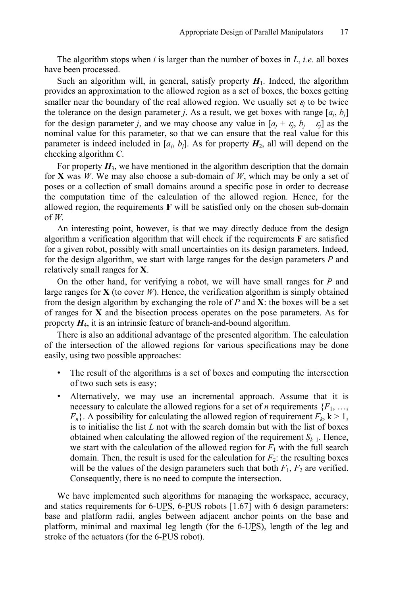The algorithm stops when *i* is larger than the number of boxes in *L*, *i.e.* all boxes have been processed.

Such an algorithm will, in general, satisfy property  $H<sub>1</sub>$ . Indeed, the algorithm provides an approximation to the allowed region as a set of boxes, the boxes getting smaller near the boundary of the real allowed region. We usually set  $\varepsilon_j$  to be twice the tolerance on the design parameter *j*. As a result, we get boxes with range  $[a_j, b_j]$ for the design parameter *j*, and we may choose any value in  $[a_j + \varepsilon_j, b_j - \varepsilon_j]$  as the nominal value for this parameter, so that we can ensure that the real value for this parameter is indeed included in  $[a_j, b_j]$ . As for property  $H_2$ , all will depend on the checking algorithm *C*.

For property  $H_3$ , we have mentioned in the algorithm description that the domain for **X** was *W*. We may also choose a sub-domain of *W*, which may be only a set of poses or a collection of small domains around a specific pose in order to decrease the computation time of the calculation of the allowed region. Hence, for the allowed region, the requirements **F** will be satisfied only on the chosen sub-domain of *W*.

An interesting point, however, is that we may directly deduce from the design algorithm a verification algorithm that will check if the requirements **F** are satisfied for a given robot, possibly with small uncertainties on its design parameters. Indeed, for the design algorithm, we start with large ranges for the design parameters *P* and relatively small ranges for **X**.

On the other hand, for verifying a robot, we will have small ranges for *P* and large ranges for **X** (to cover *W*). Hence, the verification algorithm is simply obtained from the design algorithm by exchanging the role of *P* and **X**: the boxes will be a set of ranges for **X** and the bisection process operates on the pose parameters. As for property  $H_4$ , it is an intrinsic feature of branch-and-bound algorithm.

There is also an additional advantage of the presented algorithm. The calculation of the intersection of the allowed regions for various specifications may be done easily, using two possible approaches:

- The result of the algorithms is a set of boxes and computing the intersection of two such sets is easy;
- Alternatively, we may use an incremental approach. Assume that it is necessary to calculate the allowed regions for a set of *n* requirements  ${F_1, \ldots, F_n}$  $F_n$ }. A possibility for calculating the allowed region of requirement  $F_k$ ,  $k > 1$ , is to initialise the list *L* not with the search domain but with the list of boxes obtained when calculating the allowed region of the requirement  $S_{k-1}$ . Hence, we start with the calculation of the allowed region for  $F_1$  with the full search domain. Then, the result is used for the calculation for  $F_2$ : the resulting boxes will be the values of the design parameters such that both  $F_1$ ,  $F_2$  are verified. Consequently, there is no need to compute the intersection.

We have implemented such algorithms for managing the workspace, accuracy, and statics requirements for 6-UPS, 6-PUS robots [1.67] with 6 design parameters: base and platform radii, angles between adjacent anchor points on the base and platform, minimal and maximal leg length (for the 6-UPS), length of the leg and stroke of the actuators (for the 6-PUS robot).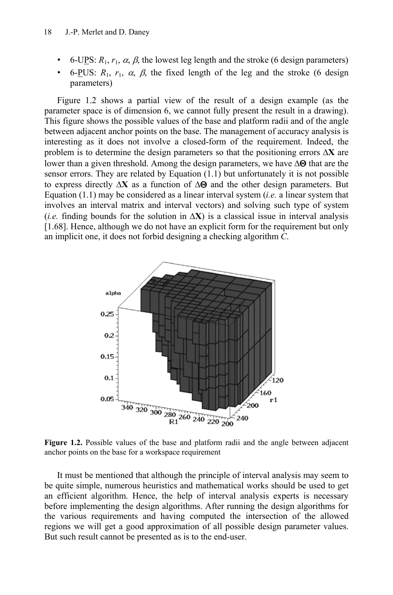- 6-UPS:  $R_1, r_1, \alpha, \beta$ , the lowest leg length and the stroke (6 design parameters)
- 6-PUS:  $R_1$ ,  $r_1$ ,  $\alpha$ ,  $\beta$ , the fixed length of the leg and the stroke (6 design parameters)

Figure 1.2 shows a partial view of the result of a design example (as the parameter space is of dimension 6, we cannot fully present the result in a drawing). This figure shows the possible values of the base and platform radii and of the angle between adjacent anchor points on the base. The management of accuracy analysis is interesting as it does not involve a closed-form of the requirement. Indeed, the problem is to determine the design parameters so that the positioning errors  $\Delta X$  are lower than a given threshold. Among the design parameters, we have  $\Delta\Theta$  that are the sensor errors. They are related by Equation  $(1.1)$  but unfortunately it is not possible to express directly  $\Delta X$  as a function of  $\Delta \Theta$  and the other design parameters. But Equation (1.1) may be considered as a linear interval system (*i.e.* a linear system that involves an interval matrix and interval vectors) and solving such type of system (*i.e.* finding bounds for the solution in  $\Delta X$ ) is a classical issue in interval analysis [1.68]. Hence, although we do not have an explicit form for the requirement but only an implicit one, it does not forbid designing a checking algorithm *C*.



**Figure 1.2.** Possible values of the base and platform radii and the angle between adjacent anchor points on the base for a workspace requirement

It must be mentioned that although the principle of interval analysis may seem to be quite simple, numerous heuristics and mathematical works should be used to get an efficient algorithm. Hence, the help of interval analysis experts is necessary before implementing the design algorithms. After running the design algorithms for the various requirements and having computed the intersection of the allowed regions we will get a good approximation of all possible design parameter values. But such result cannot be presented as is to the end-user.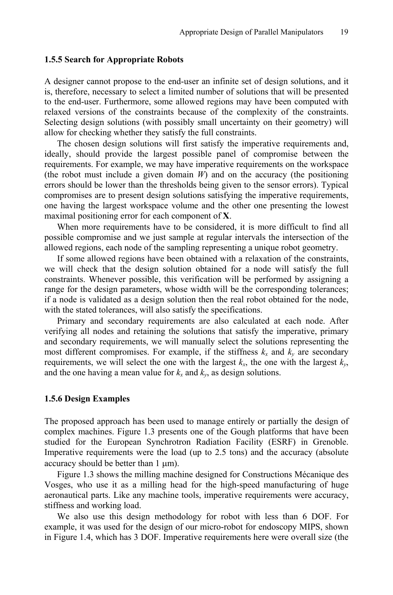#### **1.5.5 Search for Appropriate Robots**

A designer cannot propose to the end-user an infinite set of design solutions, and it is, therefore, necessary to select a limited number of solutions that will be presented to the end-user. Furthermore, some allowed regions may have been computed with relaxed versions of the constraints because of the complexity of the constraints. Selecting design solutions (with possibly small uncertainty on their geometry) will allow for checking whether they satisfy the full constraints.

The chosen design solutions will first satisfy the imperative requirements and, ideally, should provide the largest possible panel of compromise between the requirements. For example, we may have imperative requirements on the workspace (the robot must include a given domain *W*) and on the accuracy (the positioning errors should be lower than the thresholds being given to the sensor errors). Typical compromises are to present design solutions satisfying the imperative requirements, one having the largest workspace volume and the other one presenting the lowest maximal positioning error for each component of **X**.

When more requirements have to be considered, it is more difficult to find all possible compromise and we just sample at regular intervals the intersection of the allowed regions, each node of the sampling representing a unique robot geometry.

If some allowed regions have been obtained with a relaxation of the constraints, we will check that the design solution obtained for a node will satisfy the full constraints. Whenever possible, this verification will be performed by assigning a range for the design parameters, whose width will be the corresponding tolerances; if a node is validated as a design solution then the real robot obtained for the node, with the stated tolerances, will also satisfy the specifications.

Primary and secondary requirements are also calculated at each node. After verifying all nodes and retaining the solutions that satisfy the imperative, primary and secondary requirements, we will manually select the solutions representing the most different compromises. For example, if the stiffness  $k_x$  and  $k_y$  are secondary requirements, we will select the one with the largest  $k_x$ , the one with the largest  $k_y$ , and the one having a mean value for  $k_x$  and  $k_y$ , as design solutions.

#### **1.5.6 Design Examples**

The proposed approach has been used to manage entirely or partially the design of complex machines. Figure 1.3 presents one of the Gough platforms that have been studied for the European Synchrotron Radiation Facility (ESRF) in Grenoble. Imperative requirements were the load (up to 2.5 tons) and the accuracy (absolute accuracy should be better than  $1 \mu m$ ).

Figure 1.3 shows the milling machine designed for Constructions Mécanique des Vosges, who use it as a milling head for the high-speed manufacturing of huge aeronautical parts. Like any machine tools, imperative requirements were accuracy, stiffness and working load.

We also use this design methodology for robot with less than 6 DOF. For example, it was used for the design of our micro-robot for endoscopy MIPS, shown in Figure 1.4, which has 3 DOF. Imperative requirements here were overall size (the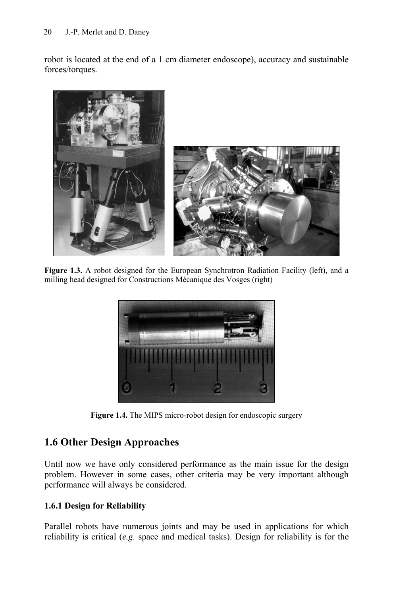robot is located at the end of a 1 cm diameter endoscope), accuracy and sustainable forces/torques.



**Figure 1.3.** A robot designed for the European Synchrotron Radiation Facility (left), and a milling head designed for Constructions Mécanique des Vosges (right)



**Figure 1.4.** The MIPS micro-robot design for endoscopic surgery

# **1.6 Other Design Approaches**

Until now we have only considered performance as the main issue for the design problem. However in some cases, other criteria may be very important although performance will always be considered.

# **1.6.1 Design for Reliability**

Parallel robots have numerous joints and may be used in applications for which reliability is critical (*e.g.* space and medical tasks). Design for reliability is for the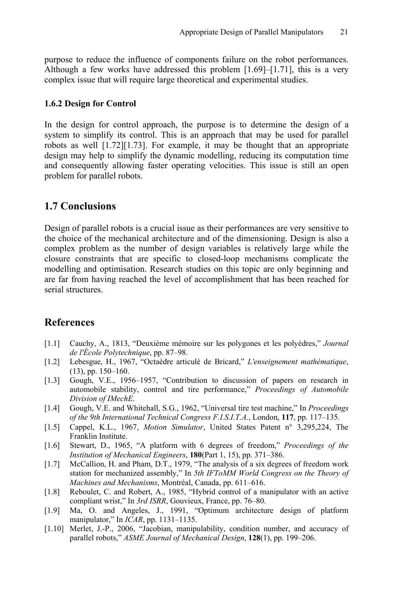purpose to reduce the influence of components failure on the robot performances. Although a few works have addressed this problem [1.69]–[1.71], this is a very complex issue that will require large theoretical and experimental studies.

#### **1.6.2 Design for Control**

In the design for control approach, the purpose is to determine the design of a system to simplify its control. This is an approach that may be used for parallel robots as well [1.72][1.73]. For example, it may be thought that an appropriate design may help to simplify the dynamic modelling, reducing its computation time and consequently allowing faster operating velocities. This issue is still an open problem for parallel robots.

# **1.7 Conclusions**

Design of parallel robots is a crucial issue as their performances are very sensitive to the choice of the mechanical architecture and of the dimensioning. Design is also a complex problem as the number of design variables is relatively large while the closure constraints that are specific to closed-loop mechanisms complicate the modelling and optimisation. Research studies on this topic are only beginning and are far from having reached the level of accomplishment that has been reached for serial structures.

# **References**

- [1.1] Cauchy, A., 1813, "Deuxième mémoire sur les polygones et les polyèdres," *Journal de l'École Polytechnique*, pp. 87–98.
- [1.2] Lebesgue, H., 1967, "Octaèdre articulé de Bricard," *L'enseignement mathématique*, (13), pp. 150–160.
- [1.3] Gough, V.E., 1956–1957, "Contribution to discussion of papers on research in automobile stability, control and tire performance," *Proceedings of Automobile Division of IMechE*.
- [1.4] Gough, V.E. and Whitehall, S.G., 1962, "Universal tire test machine," In *Proceedings of the 9th International Technical Congress F.I.S.I.T.A.*, London, **117**, pp. 117–135.
- [1.5] Cappel, K.L., 1967, *Motion Simulator*, United States Patent n° 3,295,224, The Franklin Institute.
- [1.6] Stewart, D., 1965, "A platform with 6 degrees of freedom," *Proceedings of the Institution of Mechanical Engineers*, **180**(Part 1, 15), pp. 371–386.
- [1.7] McCallion, H. and Pham, D.T., 1979, "The analysis of a six degrees of freedom work station for mechanized assembly," In *5th IFToMM World Congress on the Theory of Machines and Mechanisms*, Montréal, Canada, pp. 611–616.
- [1.8] Reboulet, C. and Robert, A., 1985, "Hybrid control of a manipulator with an active compliant wrist," In *3rd ISRR*, Gouvieux, France, pp. 76–80.
- [1.9] Ma, O. and Angeles, J., 1991, "Optimum architecture design of platform manipulator," In *ICAR*, pp. 1131–1135.
- [1.10] Merlet, J.-P., 2006, "Jacobian, manipulability, condition number, and accuracy of parallel robots," *ASME Journal of Mechanical Design*, **128**(1), pp. 199–206.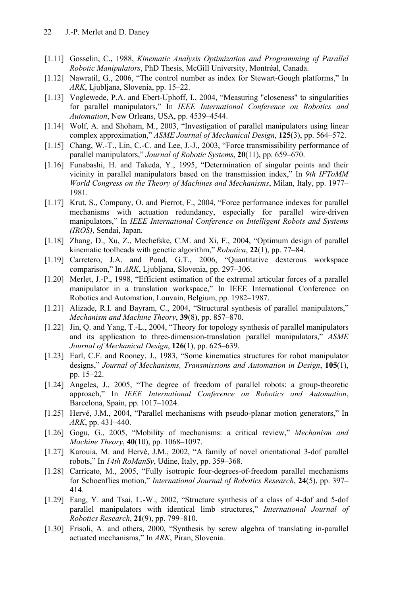- [1.11] Gosselin, C., 1988, *Kinematic Analysis Optimization and Programming of Parallel Robotic Manipulators*, PhD Thesis, McGill University, Montréal, Canada.
- [1.12] Nawratil, G., 2006, "The control number as index for Stewart-Gough platforms," In *ARK*, Ljubljana, Slovenia, pp. 15–22.
- [1.13] Voglewede, P.A. and Ebert-Uphoff, I., 2004, "Measuring "closeness" to singularities for parallel manipulators," In *IEEE International Conference on Robotics and Automation*, New Orleans, USA, pp. 4539–4544.
- [1.14] Wolf, A. and Shoham, M., 2003, "Investigation of parallel manipulators using linear complex approximation," *ASME Journal of Mechanical Design*, **125**(3), pp. 564–572.
- [1.15] Chang, W.-T., Lin, C.-C. and Lee, J.-J., 2003, "Force transmissibility performance of parallel manipulators," *Journal of Robotic Systems*, **20**(11), pp. 659–670.
- [1.16] Funabashi, H. and Takeda, Y., 1995, "Determination of singular points and their vicinity in parallel manipulators based on the transmission index," In *9th IFToMM World Congress on the Theory of Machines and Mechanisms*, Milan, Italy, pp. 1977– 1981.
- [1.17] Krut, S., Company, O. and Pierrot, F., 2004, "Force performance indexes for parallel mechanisms with actuation redundancy, especially for parallel wire-driven manipulators," In *IEEE International Conference on Intelligent Robots and Systems (IROS)*, Sendai, Japan.
- [1.18] Zhang, D., Xu, Z., Mechefske, C.M. and Xi, F., 2004, "Optimum design of parallel kinematic toolheads with genetic algorithm," *Robotica*, **22**(1), pp. 77–84.
- [1.19] Carretero, J.A. and Pond, G.T., 2006, "Quantitative dexterous workspace comparison," In *ARK*, Ljubljana, Slovenia, pp. 297–306.
- [1.20] Merlet, J.-P., 1998, "Efficient estimation of the extremal articular forces of a parallel manipulator in a translation workspace," In IEEE International Conference on Robotics and Automation, Louvain, Belgium, pp. 1982–1987.
- [1.21] Alizade, R.I. and Bayram, C., 2004, "Structural synthesis of parallel manipulators," *Mechanism and Machine Theory*, **39**(8), pp. 857–870.
- [1.22] Jin, Q. and Yang, T.-L., 2004, "Theory for topology synthesis of parallel manipulators and its application to three-dimension-translation parallel manipulators," *ASME Journal of Mechanical Design*, **126**(1), pp. 625–639.
- [1.23] Earl, C.F. and Rooney, J., 1983, "Some kinematics structures for robot manipulator designs," *Journal of Mechanisms, Transmissions and Automation in Design*, **105**(1), pp. 15–22.
- [1.24] Angeles, J., 2005, "The degree of freedom of parallel robots: a group-theoretic approach," In *IEEE International Conference on Robotics and Automation*, Barcelona, Spain, pp. 1017–1024.
- [1.25] Hervé, J.M., 2004, "Parallel mechanisms with pseudo-planar motion generators," In *ARK*, pp. 431–440.
- [1.26] Gogu, G., 2005, "Mobility of mechanisms: a critical review," *Mechanism and Machine Theory*, **40**(10), pp. 1068–1097.
- [1.27] Karouia, M. and Hervé, J.M., 2002, "A family of novel orientational 3-dof parallel robots," In *14th RoManSy*, Udine, Italy, pp. 359–368.
- [1.28] Carricato, M., 2005, "Fully isotropic four-degrees-of-freedom parallel mechanisms for Schoenflies motion," *International Journal of Robotics Research*, **24**(5), pp. 397– 414.
- [1.29] Fang, Y. and Tsai, L.-W., 2002, "Structure synthesis of a class of 4-dof and 5-dof parallel manipulators with identical limb structures," *International Journal of Robotics Research*, **21**(9), pp. 799–810.
- [1.30] Frisoli, A. and others, 2000, "Synthesis by screw algebra of translating in-parallel actuated mechanisms," In *ARK*, Piran, Slovenia.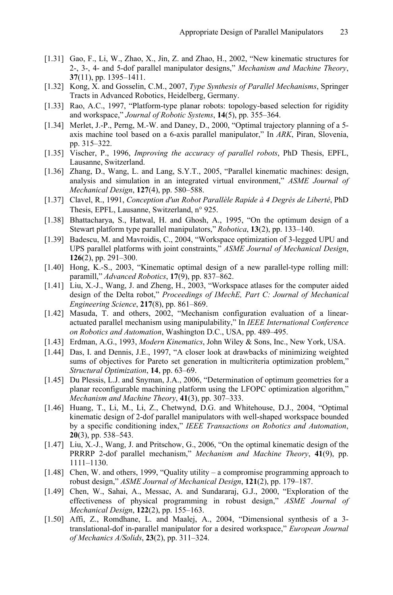- [1.31] Gao, F., Li, W., Zhao, X., Jin, Z. and Zhao, H., 2002, "New kinematic structures for 2-, 3-, 4- and 5-dof parallel manipulator designs," *Mechanism and Machine Theory*, **37**(11), pp. 1395–1411.
- [1.32] Kong, X. and Gosselin, C.M., 2007, *Type Synthesis of Parallel Mechanisms*, Springer Tracts in Advanced Robotics, Heidelberg, Germany.
- [1.33] Rao, A.C., 1997, "Platform-type planar robots: topology-based selection for rigidity and workspace," *Journal of Robotic Systems*, **14**(5), pp. 355–364.
- [1.34] Merlet, J.-P., Perng, M.-W. and Daney, D., 2000, "Optimal trajectory planning of a 5 axis machine tool based on a 6-axis parallel manipulator," In *ARK*, Piran, Slovenia, pp. 315–322.
- [1.35] Vischer, P., 1996, *Improving the accuracy of parallel robots*, PhD Thesis, EPFL, Lausanne, Switzerland.
- [1.36] Zhang, D., Wang, L. and Lang, S.Y.T., 2005, "Parallel kinematic machines: design, analysis and simulation in an integrated virtual environment," *ASME Journal of Mechanical Design*, **127**(4), pp. 580–588.
- [1.37] Clavel, R., 1991, *Conception d'un Robot Parallèle Rapide à 4 Degrés de Liberté*, PhD Thesis, EPFL, Lausanne, Switzerland, n° 925.
- [1.38] Bhattacharya, S., Hatwal, H. and Ghosh, A., 1995, "On the optimum design of a Stewart platform type parallel manipulators," *Robotica*, **13**(2), pp. 133–140.
- [1.39] Badescu, M. and Mavroidis, C., 2004, "Workspace optimization of 3-legged UPU and UPS parallel platforms with joint constraints," *ASME Journal of Mechanical Design*, **126**(2), pp. 291–300.
- [1.40] Hong, K.-S., 2003, "Kinematic optimal design of a new parallel-type rolling mill: paramill," *Advanced Robotics*, **17**(9), pp. 837–862.
- [1.41] Liu, X.-J., Wang, J. and Zheng, H., 2003, "Workspace atlases for the computer aided design of the Delta robot," *Proceedings of IMechE, Part C: Journal of Mechanical Engineering Science*, **217**(8), pp. 861–869.
- [1.42] Masuda, T. and others, 2002, "Mechanism configuration evaluation of a linearactuated parallel mechanism using manipulability," In *IEEE International Conference on Robotics and Automation*, Washington D.C., USA, pp. 489–495.
- [1.43] Erdman, A.G., 1993, *Modern Kinematics*, John Wiley & Sons, Inc., New York, USA.
- [1.44] Das, I. and Dennis, J.E., 1997, "A closer look at drawbacks of minimizing weighted sums of objectives for Pareto set generation in multicriteria optimization problem," *Structural Optimization*, **14**, pp. 63–69.
- [1.45] Du Plessis, L.J. and Snyman, J.A., 2006, "Determination of optimum geometries for a planar reconfigurable machining platform using the LFOPC optimization algorithm," *Mechanism and Machine Theory*, **41**(3), pp. 307–333.
- [1.46] Huang, T., Li, M., Li, Z., Chetwynd, D.G. and Whitehouse, D.J., 2004, "Optimal kinematic design of 2-dof parallel manipulators with well-shaped workspace bounded by a specific conditioning index," *IEEE Transactions on Robotics and Automation*, **20**(3), pp. 538–543.
- [1.47] Liu, X.-J., Wang, J. and Pritschow, G., 2006, "On the optimal kinematic design of the PRRRP 2-dof parallel mechanism," *Mechanism and Machine Theory*, **41**(9), pp. 1111–1130.
- [1.48] Chen, W. and others, 1999, "Quality utility a compromise programming approach to robust design," *ASME Journal of Mechanical Design*, **121**(2), pp. 179–187.
- [1.49] Chen, W., Sahai, A., Messac, A. and Sundararaj, G.J., 2000, "Exploration of the effectiveness of physical programming in robust design," *ASME Journal of Mechanical Design*, **122**(2), pp. 155–163.
- [1.50] Affi, Z., Romdhane, L. and Maalej, A., 2004, "Dimensional synthesis of a 3 translational-dof in-parallel manipulator for a desired workspace," *European Journal of Mechanics A/Solids*, **23**(2), pp. 311–324.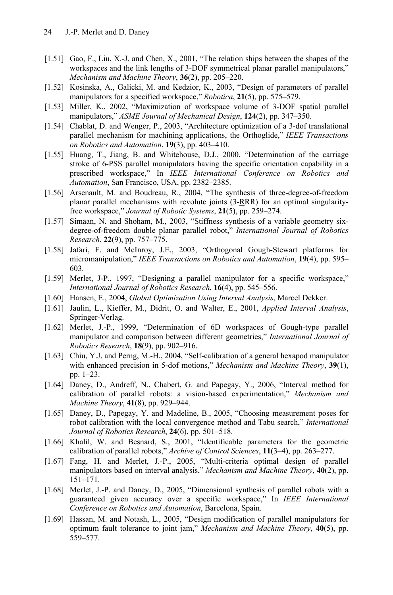- [1.51] Gao, F., Liu, X.-J. and Chen, X., 2001, "The relation ships between the shapes of the workspaces and the link lengths of 3-DOF symmetrical planar parallel manipulators," *Mechanism and Machine Theory*, **36**(2), pp. 205–220.
- [1.52] Kosinska, A., Galicki, M. and Kedzior, K., 2003, "Design of parameters of parallel manipulators for a specified workspace," *Robotica*, **21**(5), pp. 575–579.
- [1.53] Miller, K., 2002, "Maximization of workspace volume of 3-DOF spatial parallel manipulators," *ASME Journal of Mechanical Design*, **124**(2), pp. 347–350.
- [1.54] Chablat, D. and Wenger, P., 2003, "Architecture optimization of a 3-dof translational parallel mechanism for machining applications, the Orthoglide," *IEEE Transactions on Robotics and Automation*, **19**(3), pp. 403–410.
- [1.55] Huang, T., Jiang, B. and Whitehouse, D.J., 2000, "Determination of the carriage stroke of 6-PSS parallel manipulators having the specific orientation capability in a prescribed workspace," In *IEEE International Conference on Robotics and Automation*, San Francisco, USA, pp. 2382–2385.
- [1.56] Arsenault, M. and Boudreau, R., 2004, "The synthesis of three-degree-of-freedom planar parallel mechanisms with revolute joints (3-RRR) for an optimal singularityfree workspace," *Journal of Robotic Systems*, **21**(5), pp. 259–274.
- [1.57] Simaan, N. and Shoham, M., 2003, "Stiffness synthesis of a variable geometry sixdegree-of-freedom double planar parallel robot," *International Journal of Robotics Research*, **22**(9), pp. 757–775.
- [1.58] Jafari, F. and McInroy, J.E., 2003, "Orthogonal Gough-Stewart platforms for micromanipulation," *IEEE Transactions on Robotics and Automation*, **19**(4), pp. 595– 603.
- [1.59] Merlet, J-P., 1997, "Designing a parallel manipulator for a specific workspace," *International Journal of Robotics Research*, **16**(4), pp. 545–556.
- [1.60] Hansen, E., 2004, *Global Optimization Using Interval Analysis*, Marcel Dekker.
- [1.61] Jaulin, L., Kieffer, M., Didrit, O. and Walter, E., 2001, *Applied Interval Analysis*, Springer-Verlag.
- [1.62] Merlet, J.-P., 1999, "Determination of 6D workspaces of Gough-type parallel manipulator and comparison between different geometries," *International Journal of Robotics Research*, **18**(9), pp. 902–916.
- [1.63] Chiu, Y.J. and Perng, M.-H., 2004, "Self-calibration of a general hexapod manipulator with enhanced precision in 5-dof motions," *Mechanism and Machine Theory*, **39**(1), pp. 1–23.
- [1.64] Daney, D., Andreff, N., Chabert, G. and Papegay, Y., 2006, "Interval method for calibration of parallel robots: a vision-based experimentation," *Mechanism and Machine Theory*, **41**(8), pp. 929–944.
- [1.65] Daney, D., Papegay, Y. and Madeline, B., 2005, "Choosing measurement poses for robot calibration with the local convergence method and Tabu search," *International Journal of Robotics Research*, **24**(6), pp. 501–518.
- [1.66] Khalil, W. and Besnard, S., 2001, "Identificable parameters for the geometric calibration of parallel robots," *Archive of Control Sciences*, **11**(3–4), pp. 263–277.
- [1.67] Fang, H. and Merlet, J.-P., 2005, "Multi-criteria optimal design of parallel manipulators based on interval analysis," *Mechanism and Machine Theory*, **40**(2), pp. 151–171.
- [1.68] Merlet, J.-P. and Daney, D., 2005, "Dimensional synthesis of parallel robots with a guaranteed given accuracy over a specific workspace," In *IEEE International Conference on Robotics and Automation*, Barcelona, Spain.
- [1.69] Hassan, M. and Notash, L., 2005, "Design modification of parallel manipulators for optimum fault tolerance to joint jam," *Mechanism and Machine Theory*, **40**(5), pp. 559–577.